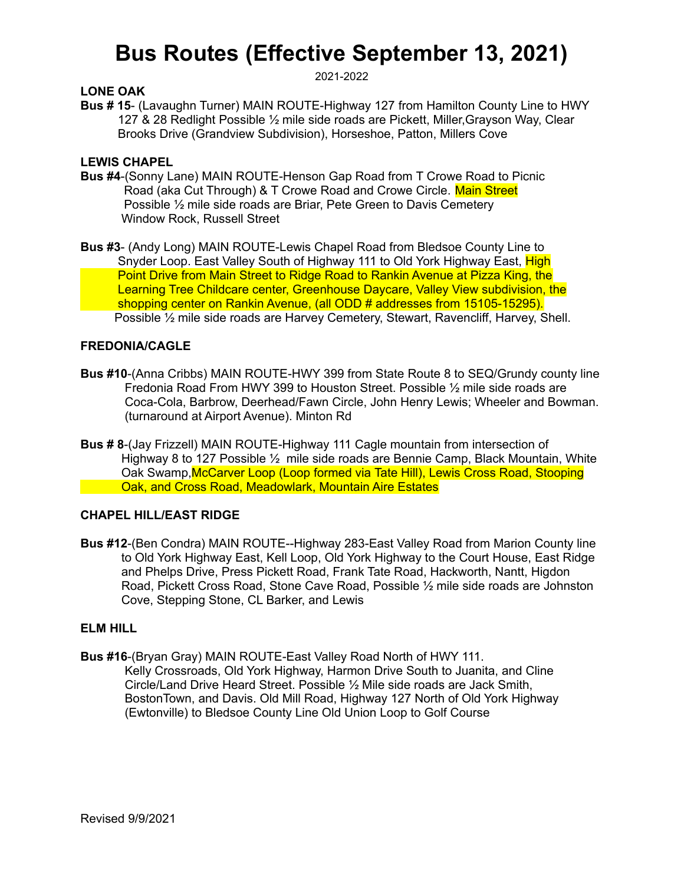# **Bus Routes (Effective September 13, 2021)**

2021-2022

# **LONE OAK**

**Bus # 15**- (Lavaughn Turner) MAIN ROUTE-Highway 127 from Hamilton County Line to HWY 127 & 28 Redlight Possible ½ mile side roads are Pickett, Miller,Grayson Way, Clear Brooks Drive (Grandview Subdivision), Horseshoe, Patton, Millers Cove

## **LEWIS CHAPEL**

- **Bus #4**-(Sonny Lane) MAIN ROUTE-Henson Gap Road from T Crowe Road to Picnic Road (aka Cut Through) & T Crowe Road and Crowe Circle. Main Street Possible ½ mile side roads are Briar, Pete Green to Davis Cemetery Window Rock, Russell Street
- **Bus #3** (Andy Long) MAIN ROUTE-Lewis Chapel Road from Bledsoe County Line to Snyder Loop. East Valley South of Highway 111 to Old York Highway East, High Point Drive from Main Street to Ridge Road to Rankin Avenue at Pizza King, the Learning Tree Childcare center, Greenhouse Daycare, Valley View subdivision, the shopping center on Rankin Avenue, (all ODD # addresses from 15105-15295). Possible ½ mile side roads are Harvey Cemetery, Stewart, Ravencliff, Harvey, Shell.

## **FREDONIA/CAGLE**

- **Bus #10**-(Anna Cribbs) MAIN ROUTE-HWY 399 from State Route 8 to SEQ/Grundy county line Fredonia Road From HWY 399 to Houston Street. Possible ½ mile side roads are Coca-Cola, Barbrow, Deerhead/Fawn Circle, John Henry Lewis; Wheeler and Bowman. (turnaround at Airport Avenue). Minton Rd
- **Bus # 8**-(Jay Frizzell) MAIN ROUTE-Highway 111 Cagle mountain from intersection of Highway 8 to 127 Possible  $\frac{1}{2}$  mile side roads are Bennie Camp, Black Mountain, White Oak Swamp,McCarver Loop (Loop formed via Tate Hill), Lewis Cross Road, Stooping **Example 20 Set April 20 Set Apr 20 Set Apr 20 Set Apr 20 Set Apr 20 Set Apr 20 Set Apr 20 Set Apr 20 Set Apr 20 Set Apr 20 Set Apr 20 Set Apr 20 Set Apr 20 Set Apr 20 Set Apr 20 Set Apr 20 Set Apr 20 Set Apr 20 Set Apr 20**

# **CHAPEL HILL/EAST RIDGE**

**Bus #12**-(Ben Condra) MAIN ROUTE--Highway 283-East Valley Road from Marion County line to Old York Highway East, Kell Loop, Old York Highway to the Court House, East Ridge and Phelps Drive, Press Pickett Road, Frank Tate Road, Hackworth, Nantt, Higdon Road, Pickett Cross Road, Stone Cave Road, Possible ½ mile side roads are Johnston Cove, Stepping Stone, CL Barker, and Lewis

#### **ELM HILL**

**Bus #16**-(Bryan Gray) MAIN ROUTE-East Valley Road North of HWY 111. Kelly Crossroads, Old York Highway, Harmon Drive South to Juanita, and Cline Circle/Land Drive Heard Street. Possible ½ Mile side roads are Jack Smith, BostonTown, and Davis. Old Mill Road, Highway 127 North of Old York Highway (Ewtonville) to Bledsoe County Line Old Union Loop to Golf Course